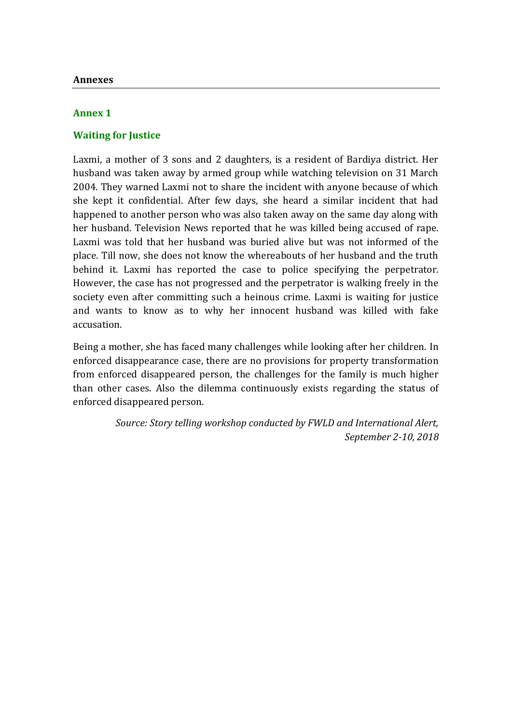## **Annex 1**

# **Waiting for Justice**

Laxmi, a mother of 3 sons and 2 daughters, is a resident of Bardiya district. Her husband was taken away by armed group while watching television on 31 March 2004. They warned Laxmi not to share the incident with anyone because of which she kept it confidential. After few days, she heard a similar incident that had happened to another person who was also taken away on the same day along with her husband. Television News reported that he was killed being accused of rape. Laxmi was told that her husband was buried alive but was not informed of the place. Till now, she does not know the whereabouts of her husband and the truth behind it. Laxmi has reported the case to police specifying the perpetrator. However, the case has not progressed and the perpetrator is walking freely in the society even after committing such a heinous crime. Laxmi is waiting for justice and wants to know as to why her innocent husband was killed with fake accusation.

Being a mother, she has faced many challenges while looking after her children. In enforced disappearance case, there are no provisions for property transformation from enforced disappeared person, the challenges for the family is much higher than other cases. Also the dilemma continuously exists regarding the status of enforced disappeared person.

> *Source: Story telling workshop conducted by FWLD and International Alert, September 2-10, 2018*